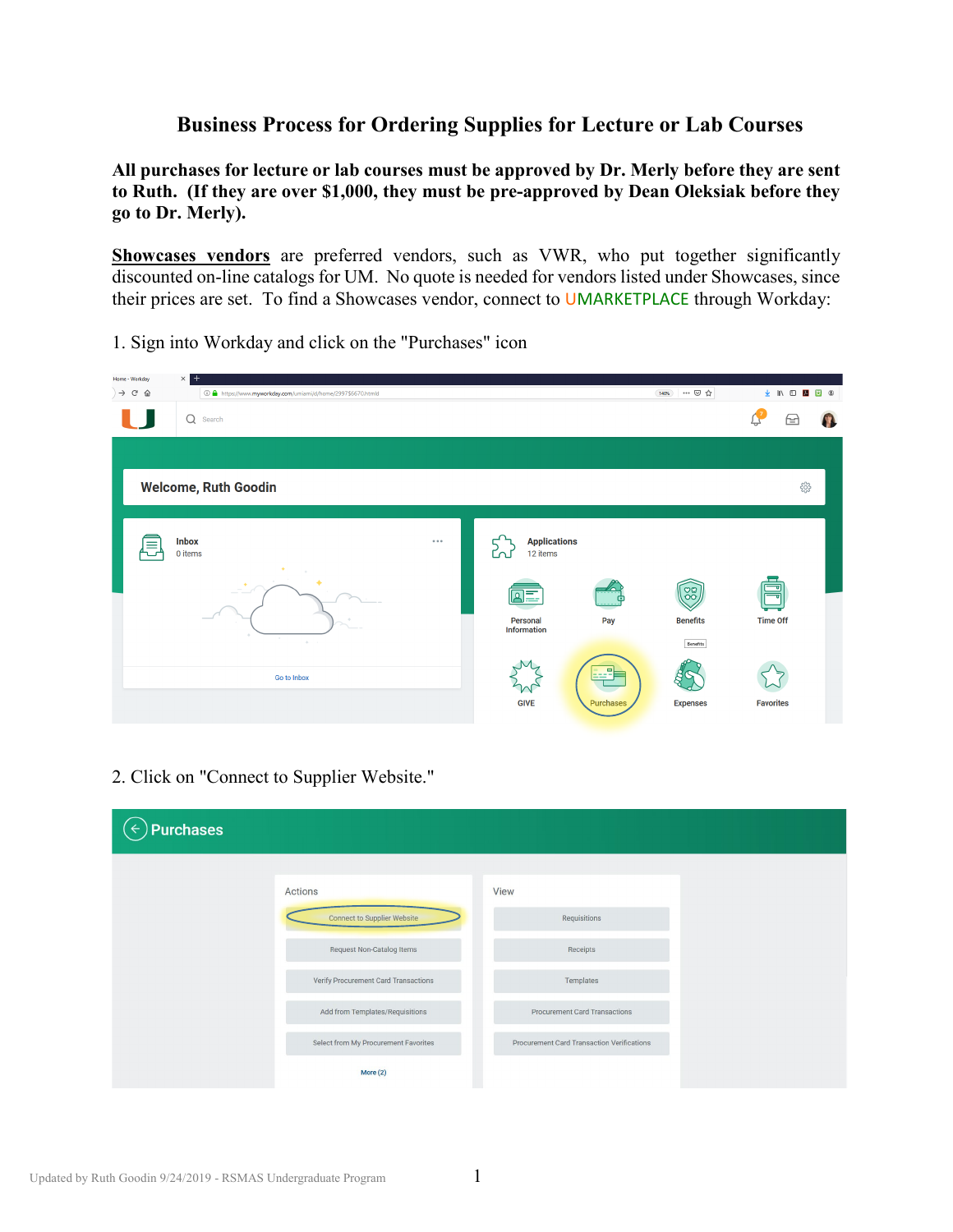## **Business Process for Ordering Supplies for Lecture or Lab Courses**

**All purchases for lecture or lab courses must be approved by Dr. Merly before they are sent to Ruth. (If they are over \$1,000, they must be pre-approved by Dean Oleksiak before they go to Dr. Merly).** 

**Showcases vendors** are preferred vendors, such as VWR, who put together significantly discounted on-line catalogs for UM. No quote is needed for vendors listed under Showcases, since their prices are set. To find a Showcases vendor, connect to UMARKETPLACE through Workday:

1. Sign into Workday and click on the "Purchases" icon

| Home - Workday                   | ×<br>$+$                                                     |                                 |                |                                     |                       |
|----------------------------------|--------------------------------------------------------------|---------------------------------|----------------|-------------------------------------|-----------------------|
| $\rightarrow$ $C$ $\hat{\omega}$ | 1 1 https://www.myworkday.com/umiami/d/home/2997\$6670.htmld |                                 |                | --- ◎ ☆<br>140%                     | → Ⅲ Ⅲ 八<br><b>D</b> © |
|                                  | Q<br>Search                                                  |                                 |                |                                     | क़<br>4               |
|                                  |                                                              |                                 |                |                                     |                       |
|                                  | <b>Welcome, Ruth Goodin</b>                                  |                                 |                |                                     | ౘ్ర                   |
| Ξ                                | <b>Inbox</b><br>$\cdots$<br>0 items                          | <b>Applications</b><br>12 items |                |                                     |                       |
|                                  | $\sim$<br>۰                                                  | Personal<br>Information         | Pay            | $\frac{80}{100}$<br><b>Benefits</b> | <b>Time Off</b>       |
|                                  | $\sim$<br>$\sigma_{\rm P}$<br>Go to Inbox                    | <b>GIVE</b>                     | E<br>Purchases | Benefits<br><b>Expenses</b>         | <b>Favorites</b>      |

2. Click on "Connect to Supplier Website."

| <b>Purchases</b>                     |                                            |
|--------------------------------------|--------------------------------------------|
| Actions                              | View                                       |
| <b>Connect to Supplier Website</b>   | Requisitions                               |
| Request Non-Catalog Items            | Receipts                                   |
| Verify Procurement Card Transactions | Templates                                  |
| Add from Templates/Requisitions      | <b>Procurement Card Transactions</b>       |
| Select from My Procurement Favorites | Procurement Card Transaction Verifications |
| More $(2)$                           |                                            |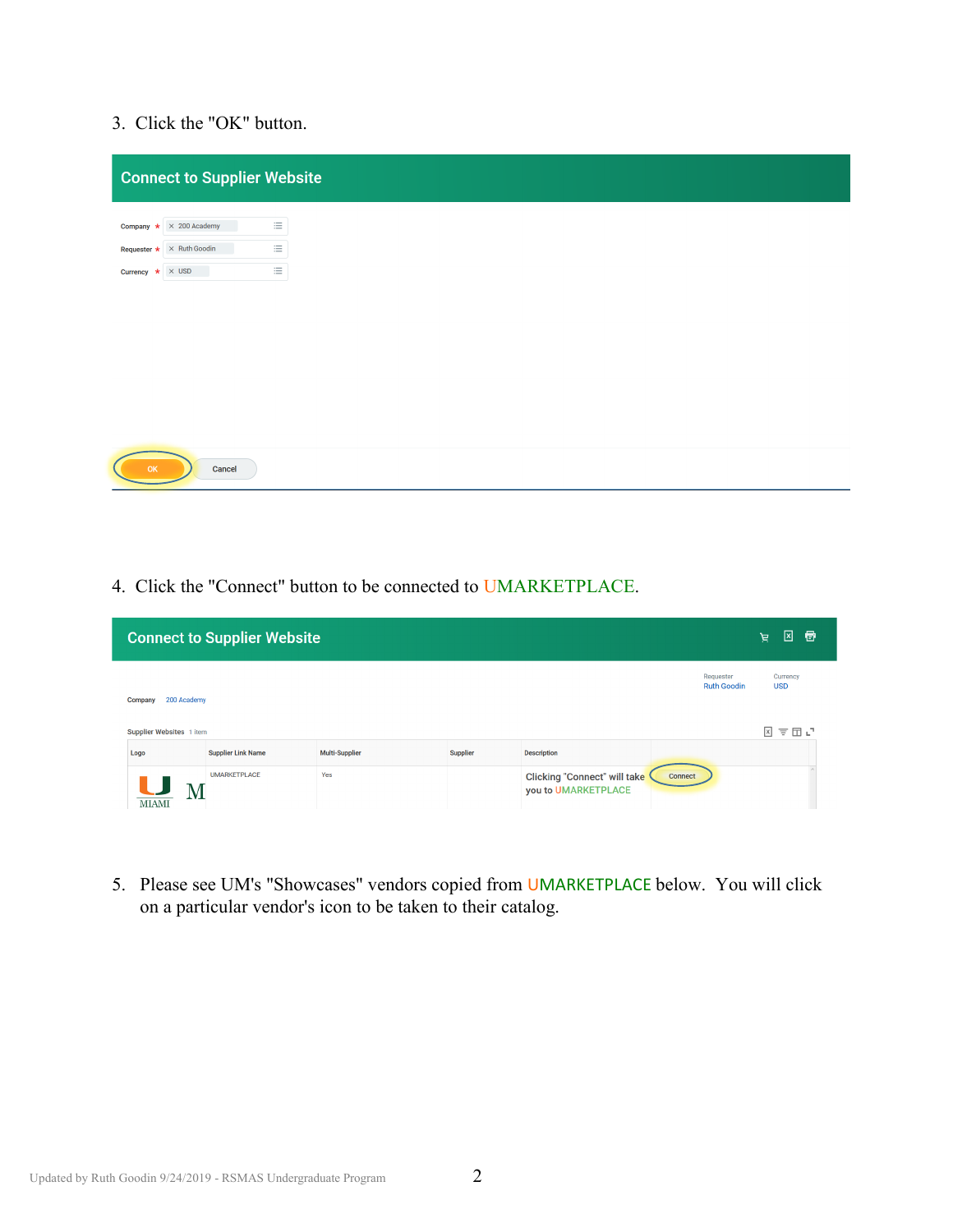## 3. Click the "OK" button.

| <b>Connect to Supplier Website</b>                     |          |  |  |
|--------------------------------------------------------|----------|--|--|
| $\times$ 200 Academy<br>Company $\star$                | $\equiv$ |  |  |
| <b>Requester <math>\star \times</math> Ruth Goodin</b> | 這        |  |  |
| Currency $\star \times$ USD                            | 三        |  |  |
|                                                        |          |  |  |
|                                                        |          |  |  |
|                                                        |          |  |  |
|                                                        |          |  |  |
|                                                        |          |  |  |
|                                                        |          |  |  |
|                                                        |          |  |  |
| OK<br>Cancel                                           |          |  |  |

4. Click the "Connect" button to be connected to UMARKETPLACE.

| <b>Connect to Supplier Website</b> |                           |                       |                 |                                                                              |                                 | ⊠<br>Ð<br>Ĕ.           |
|------------------------------------|---------------------------|-----------------------|-----------------|------------------------------------------------------------------------------|---------------------------------|------------------------|
| 200 Academy<br>Company             |                           |                       |                 |                                                                              | Requester<br><b>Ruth Goodin</b> | Currency<br><b>USD</b> |
| Supplier Websites 1 item           |                           |                       |                 |                                                                              |                                 | 図言団凸                   |
| Logo                               | <b>Supplier Link Name</b> | <b>Multi-Supplier</b> | <b>Supplier</b> | <b>Description</b>                                                           |                                 |                        |
| U<br>Μ<br><b>MIAMI</b>             | <b>UMARKETPLACE</b>       | Yes                   |                 | <b>Clicking "Connect" will take</b><br><b>Connect</b><br>you to UMARKETPLACE |                                 |                        |

5. Please see UM's "Showcases" vendors copied from UMARKETPLACE below. You will click on a particular vendor's icon to be taken to their catalog.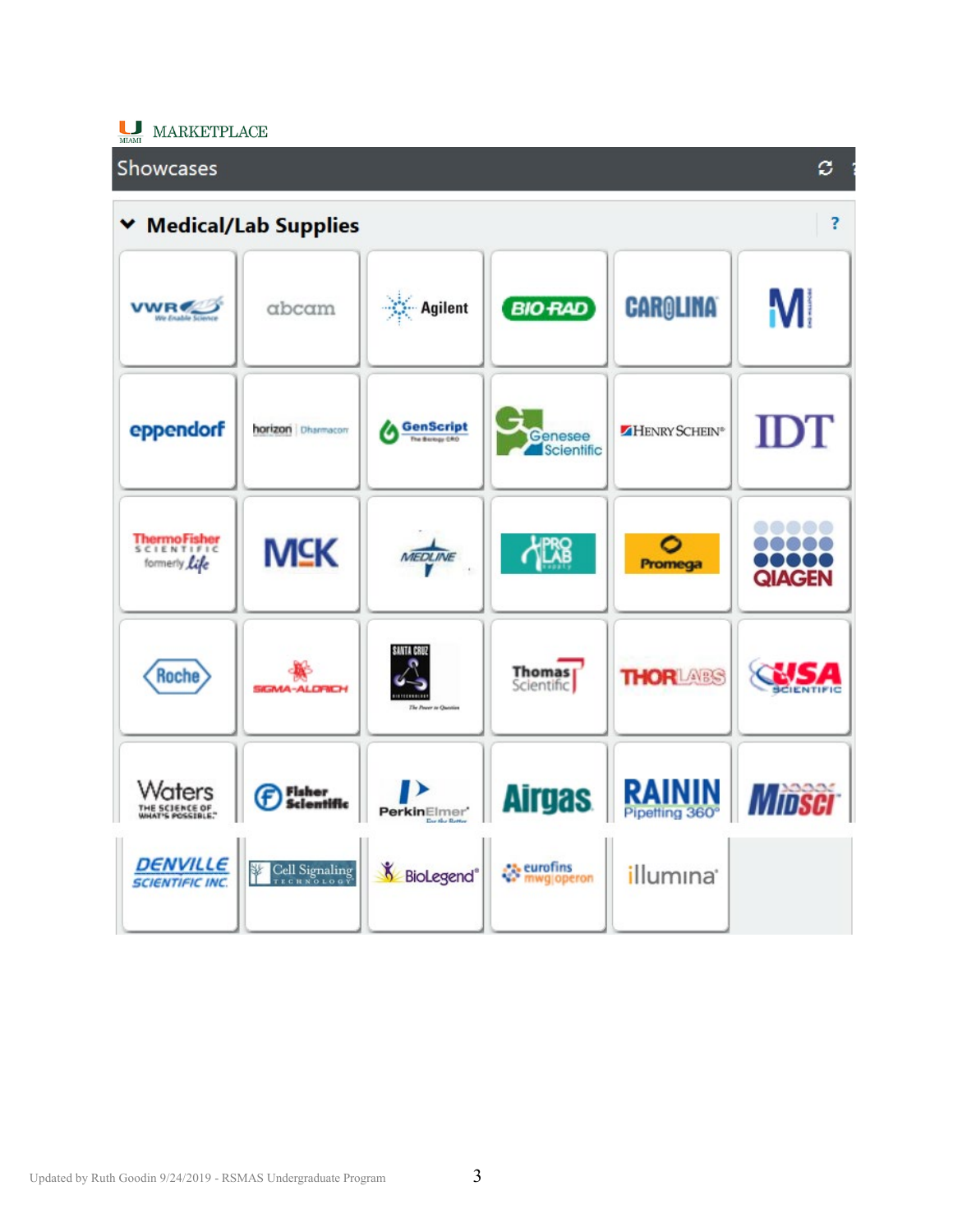

## **Showcases** ø. **Medical/Lab Supplies** ş. v M **CAROLINA Agilent VWR BIO RAD** abcam **IDT SenScript** eppendorf horizon Dharmacon HENRY SCHEIN® Genesee Scientific  $\bullet\bullet\bullet\bullet\bullet$ ThermoFisher<br>SCIENTIFIC<br>formerly Life **MSK PRS**  $\bullet\bullet\bullet\bullet\bullet$ 0 MEDLINE ..... Promega **QIAGEN** SANTA CRUZ Thomas<sub></sub> **THORLARS**  $\sum$ **Roche** MA-ALDRICH **RAININ** Waters **Airgas** ▶ Fisher<br>Scientific **WIDSCI** (F) THE SCIENCE OF PerkinElmer' et eurofins<br>We mwglopei **DENVILLE** Cell Signaling **BioLegend**® 擊 illumına<sup>®</sup> mwgjoperon **SCIENTIFIC INC.**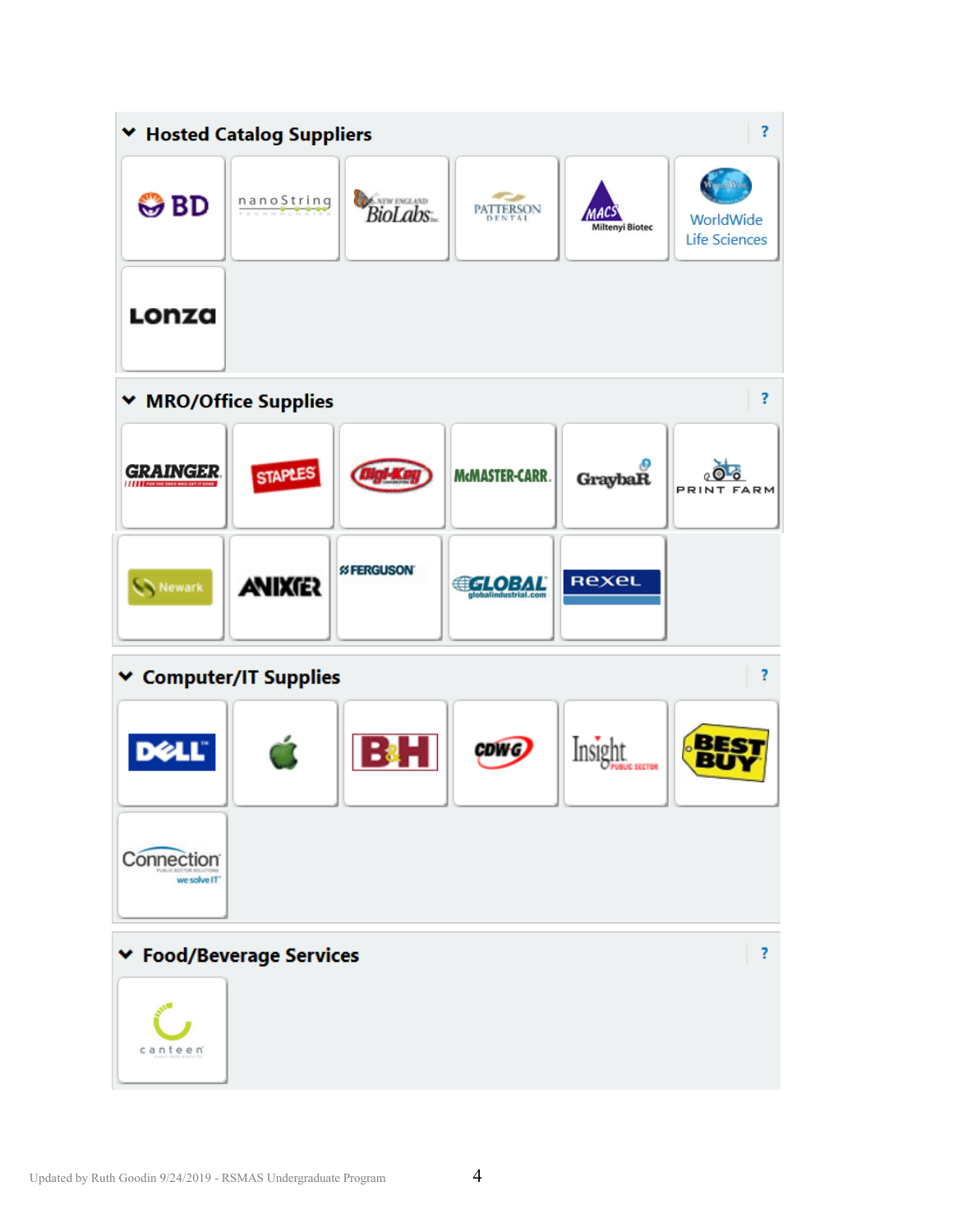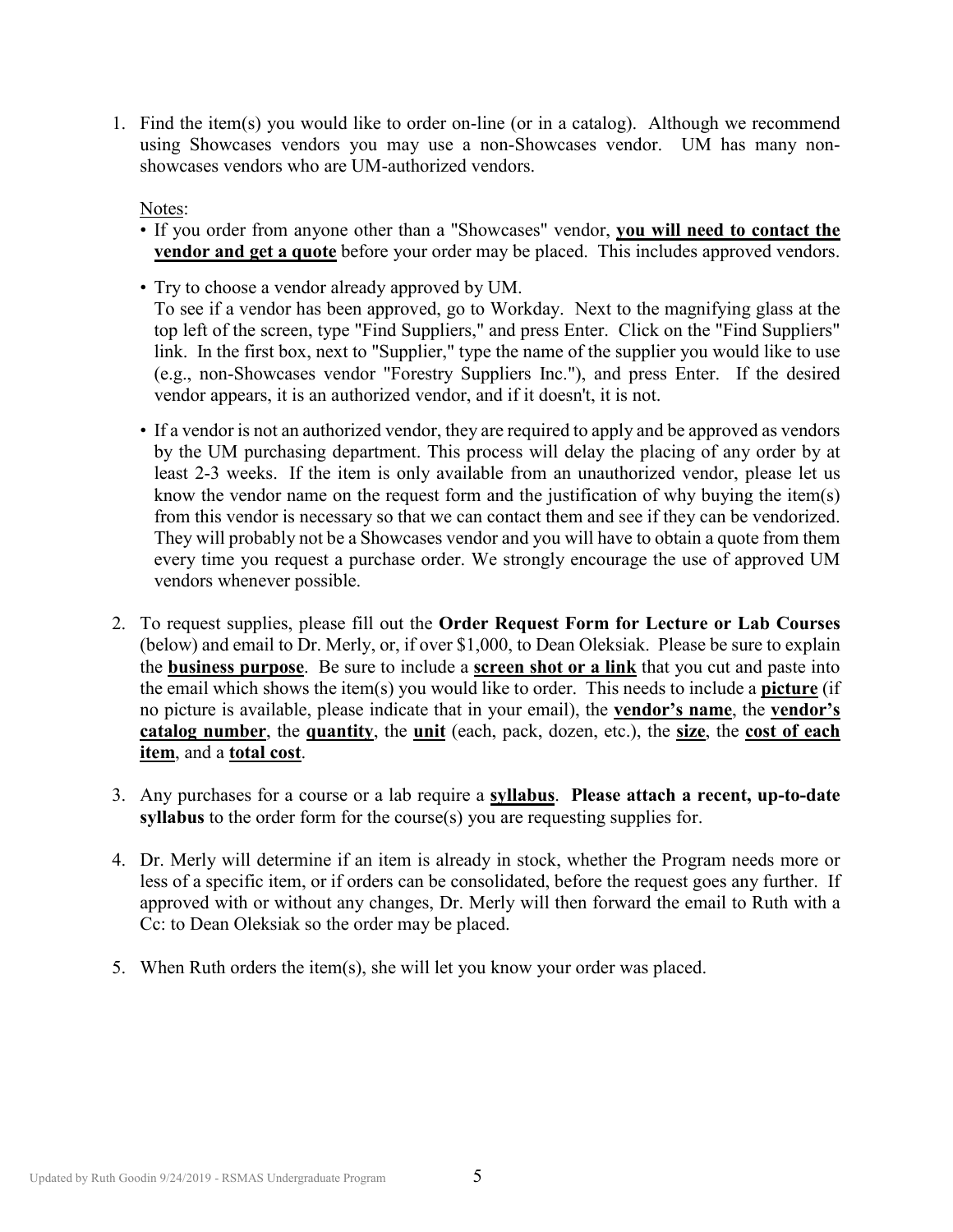1. Find the item(s) you would like to order on-line (or in a catalog). Although we recommend using Showcases vendors you may use a non-Showcases vendor. UM has many nonshowcases vendors who are UM-authorized vendors.

Notes:

- If you order from anyone other than a "Showcases" vendor, **you will need to contact the vendor and get a quote** before your order may be placed. This includes approved vendors.
- Try to choose a vendor already approved by UM. To see if a vendor has been approved, go to Workday. Next to the magnifying glass at the top left of the screen, type "Find Suppliers," and press Enter. Click on the "Find Suppliers" link. In the first box, next to "Supplier," type the name of the supplier you would like to use (e.g., non-Showcases vendor "Forestry Suppliers Inc."), and press Enter. If the desired vendor appears, it is an authorized vendor, and if it doesn't, it is not.
- If a vendor is not an authorized vendor, they are required to apply and be approved as vendors by the UM purchasing department. This process will delay the placing of any order by at least 2-3 weeks. If the item is only available from an unauthorized vendor, please let us know the vendor name on the request form and the justification of why buying the item(s) from this vendor is necessary so that we can contact them and see if they can be vendorized. They will probably not be a Showcases vendor and you will have to obtain a quote from them every time you request a purchase order. We strongly encourage the use of approved UM vendors whenever possible.
- 2. To request supplies, please fill out the **Order Request Form for Lecture or Lab Courses** (below) and email to Dr. Merly, or, if over \$1,000, to Dean Oleksiak. Please be sure to explain the **business purpose**. Be sure to include a **screen shot or a link** that you cut and paste into the email which shows the item(s) you would like to order. This needs to include a **picture** (if no picture is available, please indicate that in your email), the **vendor's name**, the **vendor's catalog number**, the **quantity**, the **unit** (each, pack, dozen, etc.), the **size**, the **cost of each item**, and a **total cost**.
- 3. Any purchases for a course or a lab require a **syllabus**. **Please attach a recent, up-to-date syllabus** to the order form for the course(s) you are requesting supplies for.
- 4. Dr. Merly will determine if an item is already in stock, whether the Program needs more or less of a specific item, or if orders can be consolidated, before the request goes any further. If approved with or without any changes, Dr. Merly will then forward the email to Ruth with a Cc: to Dean Oleksiak so the order may be placed.
- 5. When Ruth orders the item(s), she will let you know your order was placed.